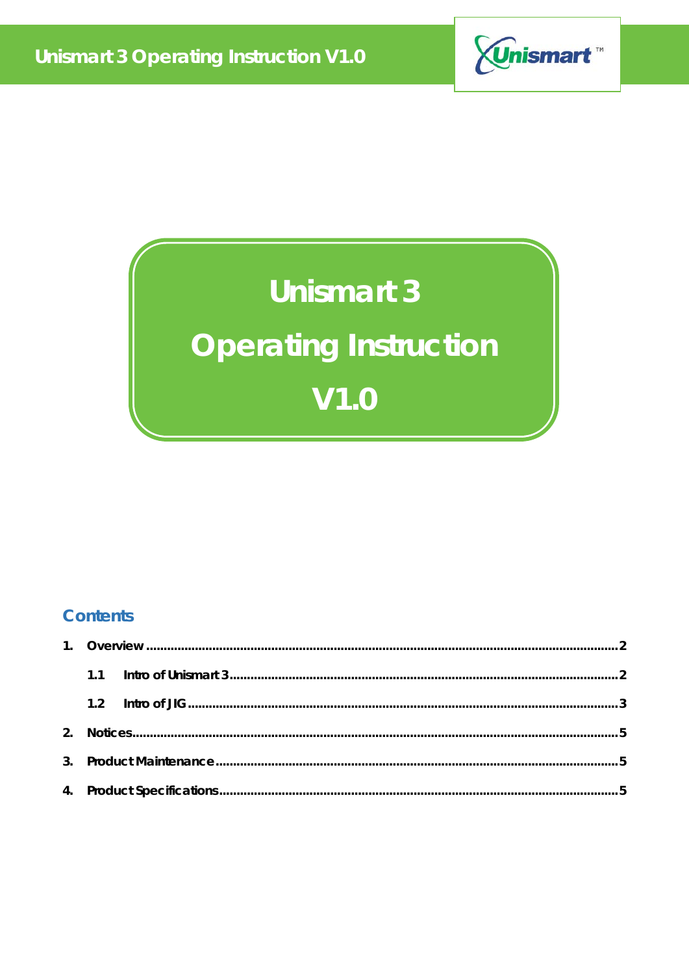

## **Unismart 3**

# **Operating Instruction**  $V1.0$

### **Contents**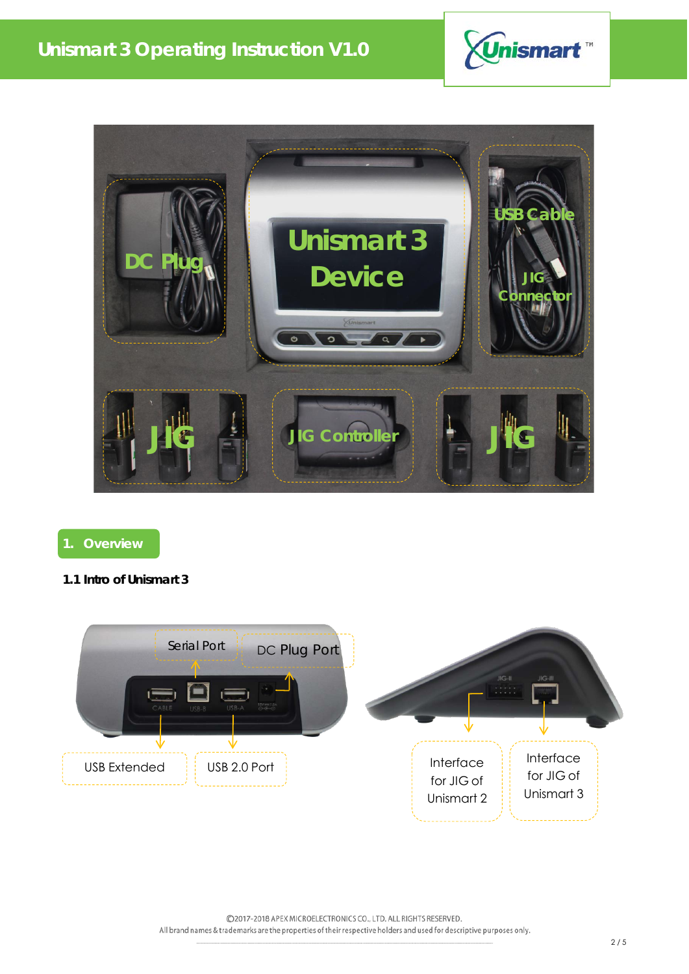



### **1. Overview**

### **1.1 Intro of Unismart 3**



©2017-2018 APEX MICROELECTRONICS CO., LTD. ALL RIGHTS RESERVED. All brand names & trademarks are the properties of their respective holders and used for descriptive purposes only.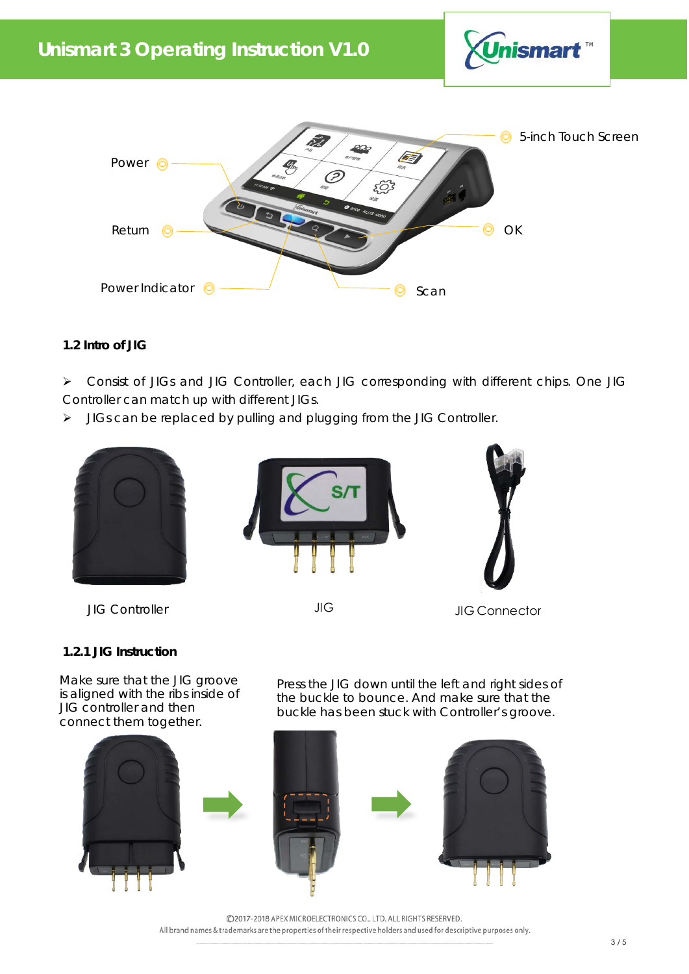



### **1.2 Intro of JIG**

 Consist of JIGs and JIG Controller, each JIG corresponding with different chips. One JIG Controller can match up with different JIGs.

> JIGs can be replaced by pulling and plugging from the JIG Controller.



JIG Controller JIG JIG Connector

### **1.2.1 JIG Instruction**

Make sure that the JIG groove is aligned with the ribs inside of JIG controller and then connect them together.

Press the JIG down until the left and right sides of the buckle to bounce. And make sure that the buckle has been stuck with Controller's groove.



©2017-2018 APEX MICROELECTRONICS CO., LTD. ALL RIGHTS RESERVED. All brand names & trademarks are the properties of their respective holders and used for descriptive purposes only.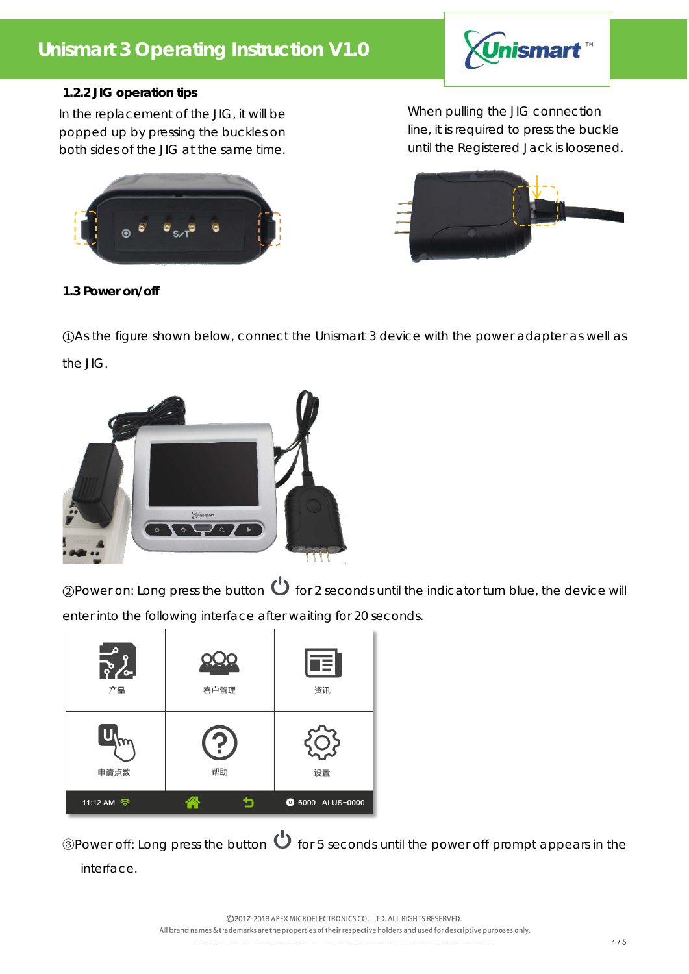### **Unismart 3 Operating Instruction V1.0**



### **1.2.2 JIG operation tips**

In the replacement of the JIG, it will be popped up by pressing the buckles on both sides of the JIG at the same time.



When pulling the JIG connection line, it is required to press the buckle until the Registered Jack is loosened.



### **1.3 Power on/off**

①As the figure shown below, connect the Unismart 3 device with the power adapter as well as the JIG.



 $\mathcal{D}$  for 2 seconds until the indicator turn blue, the device will all the indicator turn blue, the device will enter into the following interface after waiting for 20 seconds.

| Đ<br>۰<br><u> ၃.</u><br>$\bullet$<br>产品 | 客户管理 | Ŧ<br>资讯                 |
|-----------------------------------------|------|-------------------------|
| 申请点数                                    | 帮助   | 设置                      |
| 11:12 AM 令                              |      | <b>1</b> 6000 ALUS-0000 |

**③Power off: Long press the button**  $\bigcup$  **for 5 seconds until the power off prompt appears in the** interface.